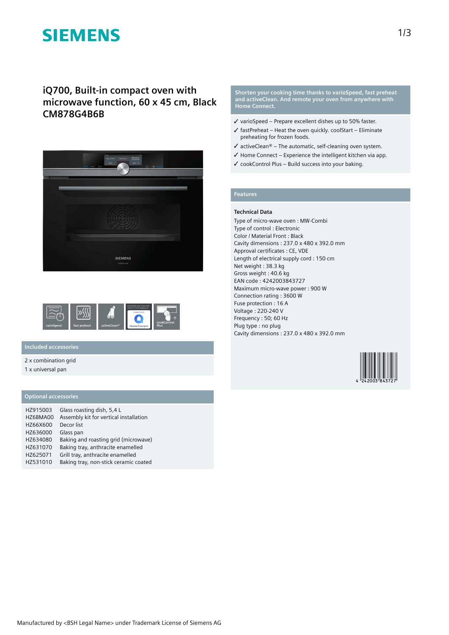# **SIEMENS**

## **iQ700, Built-in compact oven with microwave function, 60 x 45 cm, Black CM878G4B6B**





## **Included accessories**

2 x combination grid

1 x universal pan

### **Optional accessories**

| HZ915003 | Glass roasting dish, 5,4 L             |
|----------|----------------------------------------|
| HZ6BMA00 | Assembly kit for vertical installation |
| HZ66X600 | Decor list                             |
| HZ636000 | Glass pan                              |
| HZ634080 | Baking and roasting grid (microwave)   |
| HZ631070 | Baking tray, anthracite enamelled      |
| HZ625071 | Grill tray, anthracite enamelled       |
| HZ531010 | Baking tray, non-stick ceramic coated  |

**Shorten your cooking time thanks to varioSpeed, fast preheat and activeClean. And remote your oven from anywhere with Home Connect.**

- ✓ varioSpeed Prepare excellent dishes up to 50% faster.
- $\checkmark$  fastPreheat Heat the oven quickly. coolStart Eliminate preheating for frozen foods.
- $\checkmark$  activeClean® The automatic, self-cleaning oven system.
- $\checkmark$  Home Connect Experience the intelligent kitchen via app.
- ✓ cookControl Plus Build success into your baking.

### **Features**

#### **Technical Data**

Type of micro-wave oven : MW-Combi Type of control : Electronic Color / Material Front : Black Cavity dimensions : 237.0 x 480 x 392.0 mm Approval certificates : CE, VDE Length of electrical supply cord : 150 cm Net weight : 38.3 kg Gross weight : 40.6 kg EAN code : 4242003843727 Maximum micro-wave power : 900 W Connection rating : 3600 W Fuse protection : 16 A Voltage : 220-240 V Frequency : 50; 60 Hz Plug type : no plug Cavity dimensions : 237.0 x 480 x 392.0 mm

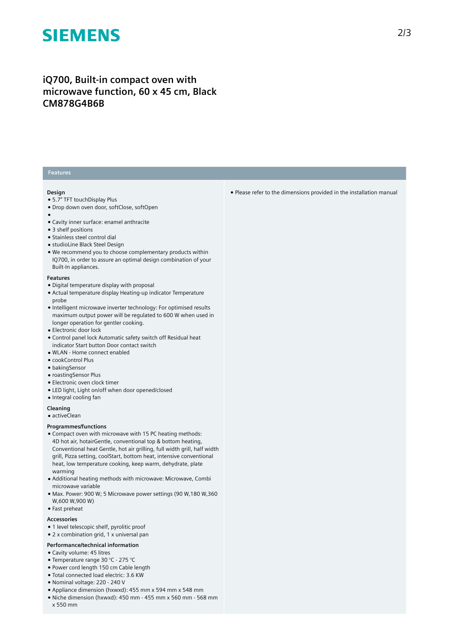# **SIEMENS**

# **iQ700, Built-in compact oven with microwave function, 60 x 45 cm, Black CM878G4B6B**

### **Features**

#### **Design**

- 5.7" TFT touchDisplay Plus
- Drop down oven door, softClose, softOpen
- ●
- Cavity inner surface: enamel anthracite
- 3 shelf positions
- Stainless steel control dial
- studioLine Black Steel Design
- We recommend you to choose complementary products within IQ700, in order to assure an optimal design combination of your Built-In appliances.

#### **Features**

- Digital temperature display with proposal
- Actual temperature display Heating-up indicator Temperature probe
- Intelligent microwave inverter technology: For optimised results maximum output power will be regulated to 600 W when used in longer operation for gentler cooking.
- Electronic door lock
- Control panel lock Automatic safety switch off Residual heat indicator Start button Door contact switch
- WLAN Home connect enabled
- cookControl Plus
- bakingSensor
- roastingSensor Plus
- Electronic oven clock timer
- LED light, Light on/off when door opened/closed
- Integral cooling fan

#### **Cleaning**

● activeClean

#### **Programmes/functions**

- Compact oven with microwave with 15 PC heating methods: 4D hot air, hotairGentle, conventional top & bottom heating, Conventional heat Gentle, hot air grilling, full width grill, half width grill, Pizza setting, coolStart, bottom heat, intensive conventional heat, low temperature cooking, keep warm, dehydrate, plate warming
- Additional heating methods with microwave: Microwave, Combi microwave variable
- Max. Power: 900 W; 5 Microwave power settings (90 W,180 W,360 W,600 W,900 W)
- Fast preheat

#### **Accessories**

- 1 level telescopic shelf, pyrolitic proof
- 2 x combination grid, 1 x universal pan

#### **Performance/technical information**

- Cavity volume: 45 litres
- Temperature range 30 °C 275 °C
- Power cord length 150 cm Cable length
- Total connected load electric: 3.6 KW
- Nominal voltage: 220 240 V
- Appliance dimension (hxwxd): 455 mm x 594 mm x 548 mm
- Niche dimension (hxwxd): 450 mm 455 mm x 560 mm 568 mm x 550 mm

● Please refer to the dimensions provided in the installation manual